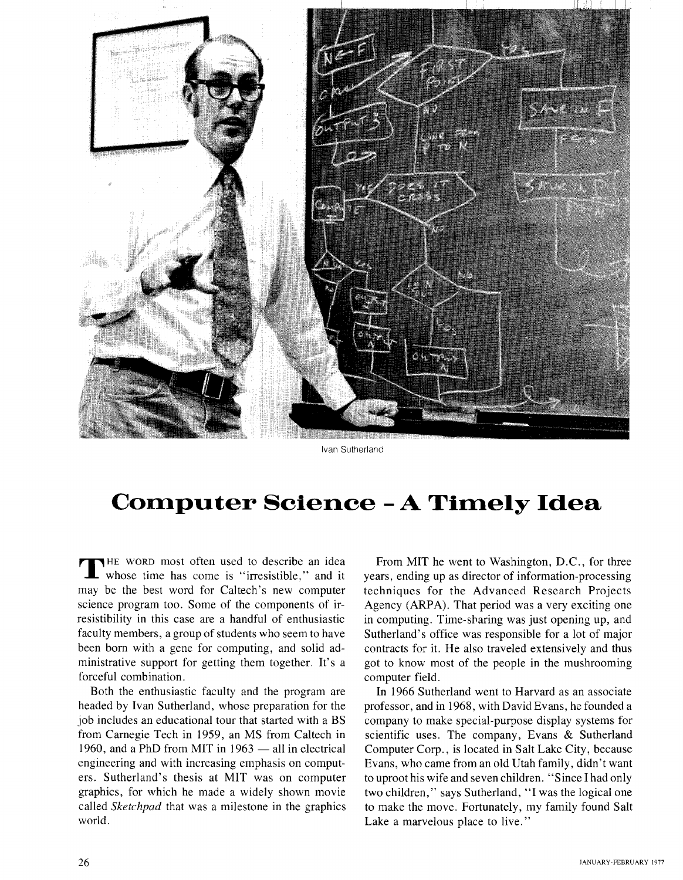

Ivan Sutherland

## **Computer Science** - **A Timely Idea**

THE WORD most often used to describe an idea<br>whose time has come is "irresistible," and it may be the best word for Caltech's new computer science program too. Some of the components of irresistibility in this case are a handful of enthusiastic faculty members, a group of students who seem to have been born with a gene for computing, and solid administrative support for getting them together. It's a forceful combination.

Both the enthusiastic faculty and the program are headed by Ivan Sutherland, whose preparation for the job includes an educational tour that started with a BS from Carnegie Tech in 1959, an MS from Caltech in from Carnegie Tech in 1959, an MS from Caltech in<br>1960, and a PhD from MIT in 1963 — all in electrical engineering and with increasing emphasis on computers. Sutherland's thesis at MIT was on computer graphics, for which he made a widely shown movie called *Sketchpad* that was a milestone in the graphics world.

From MIT he went to Washington, D.C., for three years, ending up as director of information-processing techniques for the Advanced Research Projects Agency (ARPA). That period was a very exciting one in computing. Time-sharing was just opening up, and Sutherland's office was responsible for a lot of major contracts for it. He also traveled extensively and thus got to know most of the people in the mushrooming computer field.

In 1966 Sutherland went to Harvard as an associate professor, and in 1968, with David Evans, he founded a company to make special-purpose display systems for scientific uses. The company, Evans & Sutherland Computer Corp., is located in Salt Lake City, because Evans, who came from an old Utah family, didn't want to uproot his wife and seven children. "Since I had only two children," says Sutherland, "I was the logical one to make the move. Fortunately, my family found Salt Lake a marvelous place to live."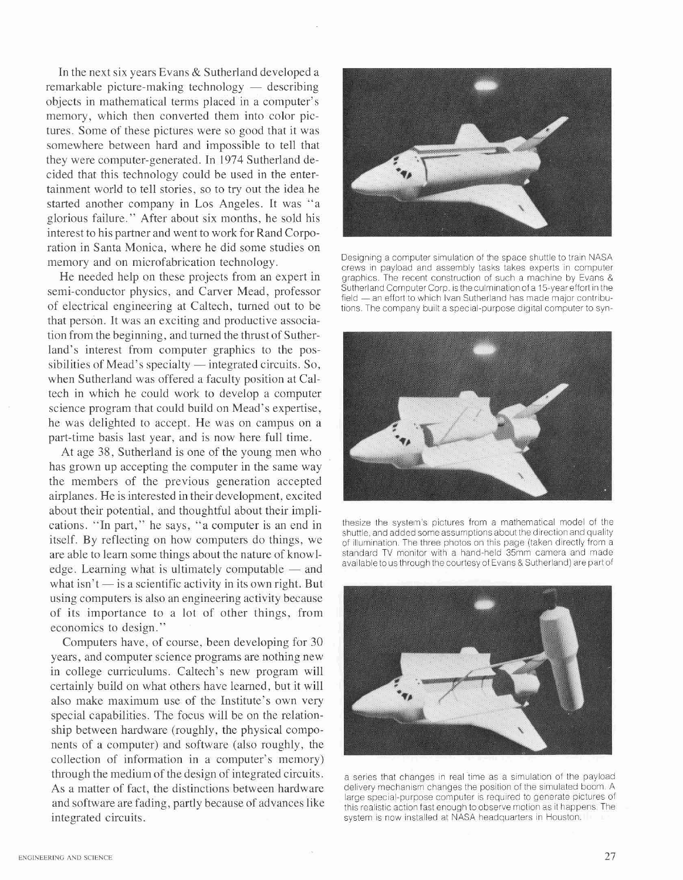In the next six years Evans & Sutherland developed a  $remarkable picture-making technology - describing$ objects in mathematical terms placed in a computer's memory, which then converted them into color pictures. Some of these pictures were so good that it was somewhere between hard and impossible to tell that they were computer-generated. In 1974 Sutherland decided that this technology could be used in the entertainment world to tell stories, so to try out the idea he started another company in Los Angeles. It was "a glorious failure." After about six months, he sold his interest to his partner and went to work for Rand Corporation in Santa Monica, where he did some studies on memory and on microfabrication technology.<br>
Designing a computer simulation of the space shuttle to train NASA<br>
seems in portant and seems to the space shuttle to train NASA

semi-conductor physics, and Carver Mead, professor of electrical engineering at Caltech, turned out to be that person. It was an exciting and productive association from the beginning, and turned the thrust of Sutherland's interest from computer graphics to the possibilities of Mead's specialty  $-$  integrated circuits. So, when Sutherland was offered a faculty position at Caltech in which he could work to develop a computer science program that could build on Mead's expertise, he was delighted to accept. He was on campus on a part-time basis last year, and is now here full time.

At age 38, Sutherland is one of the young men who has grown up accepting the computer in the same way the members of the previous generation accepted airplanes. He is interested in their development, excited about their potential, and thoughtful about their implications. "In part," he says, "a computer is an end in itself. By reflecting on how computers do things, we are able to learn some things about the nature of knowl-<br>standard TV monitor with a hand-held 35mm camera and made available to us through the courtesy of Evans & Sutherland) are part of a standard TV monitor with a hand-held 35mm camera and made<br>edge. Learning what is ultimately computable — and - available to us through the courtesy edge. Learning what is ultimately computable  $-$  and what isn't  $-$  is a scientific activity in its own right. But using computers is also an engineering activity because of its importance to a lot of other things, from economics to design."

Computers have, of course, been developing for 30 years, and computer science programs are nothing new in college curriculums. Caltech's new program will certainly build on what others have learned, but it will also make maximum use of the Institute's own very special capabilities. The focus will be on the relationship between hardware (roughly, the physical components of a computer) and software (also roughly, the collection of information in a computer's memory) through the medium of the design of integrated circuits. <br>As a matter of fact, the distinctions between hardware delivery mechanism changes the position of the simulated boom. A As a matter of fact, the distinctions between hardware delivery mechanism changes the position of the simulated boom. A large special-purpose computer is required to generate pictures of and software are fading, partly because of advances like<br>this realistic action fast enough to observe motion as it happens. The<br>system is now installed at NASA headquarters in Houston.



crews in payload and assembly tasks takes experts in computer He needed help on these projects from an expert in graphics. The recent construction of such a machine by Evans &<br>mi conductor physics, and Corver Mood, professor. Sutherland Computer Corp. is the culmination of a 15-year field - an effort to which van Sutherland has made major contribu-<br>tions. The company built a special-purpose digital computer to syn-



thesize the system's pictures from a mathematical model of the shuttle, and added some assumptions about the direction and quality of illumination. The three photos on this page (taken directly from a standard TV monitor with a hand-held 35mm camera and made



system is now installed at NASA headquarters in Houston.